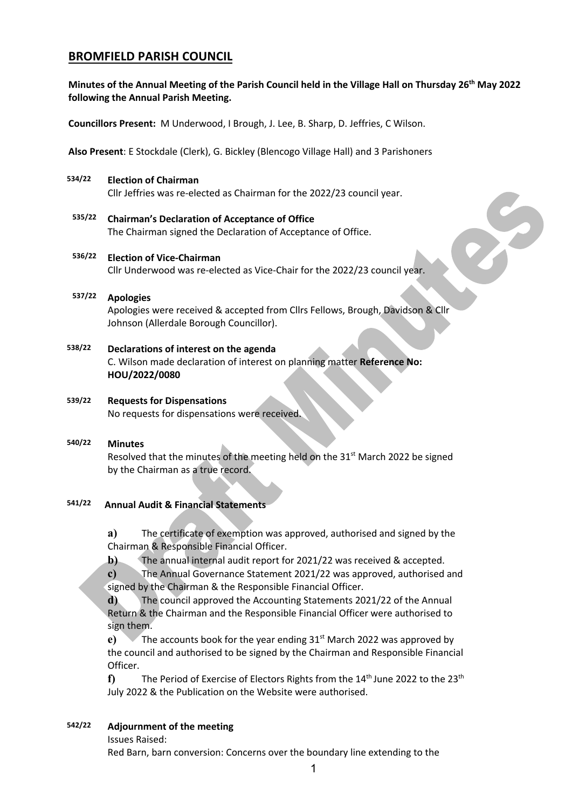# **BROMFIELD PARISH COUNCIL**

#### **Minutes of the Annual Meeting of the Parish Council held in the Village Hall on Thursday 26th May 2022 following the Annual Parish Meeting.**

**Councillors Present:** M Underwood, I Brough, J. Lee, B. Sharp, D. Jeffries, C Wilson.

**Also Present**: E Stockdale (Clerk), G. Bickley (Blencogo Village Hall) and 3 Parishoners

#### **534/22 Election of Chairman**

Cllr Jeffries was re-elected as Chairman for the 2022/23 council year.

**535/22 Chairman's Declaration of Acceptance of Office** The Chairman signed the Declaration of Acceptance of Office.

## **536/22 Election of Vice-Chairman**

Cllr Underwood was re-elected as Vice-Chair for the 2022/23 council year.

#### **537/22 Apologies**

Apologies were received & accepted from Cllrs Fellows, Brough, Davidson & Cllr Johnson (Allerdale Borough Councillor).

#### **538/22 Declarations of interest on the agenda** C. Wilson made declaration of interest on planning matter **Reference No: HOU/2022/0080**

#### **539/22 Requests for Dispensations** No requests for dispensations were received.

# **540/22 Minutes** Resolved that the minutes of the meeting held on the 31<sup>st</sup> March 2022 be signed by the Chairman as a true record.

#### **541/22 Annual Audit & Financial Statements**

**a)** The certificate of exemption was approved, authorised and signed by the Chairman & Responsible Financial Officer.

**b)** The annual internal audit report for 2021/22 was received & accepted.

**c)** The Annual Governance Statement 2021/22 was approved, authorised and signed by the Chairman & the Responsible Financial Officer.

**d)** The council approved the Accounting Statements 2021/22 of the Annual Return & the Chairman and the Responsible Financial Officer were authorised to sign them.

**e)** The accounts book for the year ending 31<sup>st</sup> March 2022 was approved by the council and authorised to be signed by the Chairman and Responsible Financial Officer.

**f)** The Period of Exercise of Electors Rights from the 14th June 2022 to the 23th July 2022 & the Publication on the Website were authorised.

#### **542/22 Adjournment of the meeting**

Issues Raised:

Red Barn, barn conversion: Concerns over the boundary line extending to the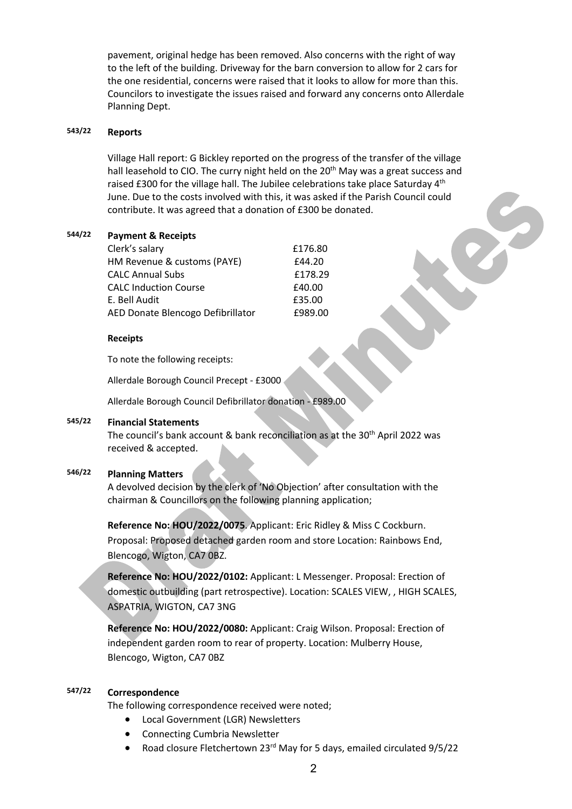pavement, original hedge has been removed. Also concerns with the right of way to the left of the building. Driveway for the barn conversion to allow for 2 cars for the one residential, concerns were raised that it looks to allow for more than this. Councilors to investigate the issues raised and forward any concerns onto Allerdale Planning Dept.

## **543/22 Reports**

Village Hall report: G Bickley reported on the progress of the transfer of the village hall leasehold to CIO. The curry night held on the 20<sup>th</sup> May was a great success and raised £300 for the village hall. The Jubilee celebrations take place Saturday 4<sup>th</sup> June. Due to the costs involved with this, it was asked if the Parish Council could contribute. It was agreed that a donation of £300 be donated.

#### **544/22 Payment & Receipts**

| Clerk's salary                    | £176.80 |
|-----------------------------------|---------|
| HM Revenue & customs (PAYE)       | £44.20  |
| <b>CALC Annual Subs</b>           | £178.29 |
| <b>CALC Induction Course</b>      | £40.00  |
| E. Bell Audit                     | £35.00  |
| AED Donate Blencogo Defibrillator | £989.00 |

#### **Receipts**

To note the following receipts:

Allerdale Borough Council Precept - £3000

Allerdale Borough Council Defibrillator donation - £989.00

#### **545/22 Financial Statements**

The council's bank account & bank reconciliation as at the 30<sup>th</sup> April 2022 was received & accepted.

#### **546/22 Planning Matters**

A devolved decision by the clerk of 'No Objection' after consultation with the chairman & Councillors on the following planning application;

**Reference No: HOU/2022/0075**. Applicant: Eric Ridley & Miss C Cockburn. Proposal: Proposed detached garden room and store Location: Rainbows End, Blencogo, Wigton, CA7 0BZ.

**Reference No: HOU/2022/0102:** Applicant: L Messenger. Proposal: Erection of domestic outbuilding (part retrospective). Location: SCALES VIEW, , HIGH SCALES, ASPATRIA, WIGTON, CA7 3NG

**Reference No: HOU/2022/0080:** Applicant: Craig Wilson. Proposal: Erection of independent garden room to rear of property. Location: Mulberry House, Blencogo, Wigton, CA7 0BZ

### **547/22 Correspondence**

The following correspondence received were noted;

- Local Government (LGR) Newsletters
- Connecting Cumbria Newsletter
- Road closure Fletchertown 23<sup>rd</sup> May for 5 days, emailed circulated 9/5/22